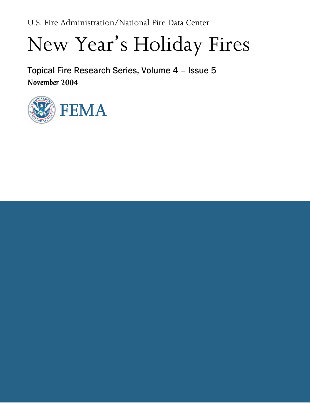U.S. Fire Administration/National Fire Data Center

# New Year's Holiday Fires

Topical Fire Research Series, Volume 4 – Issue 5 November 2004

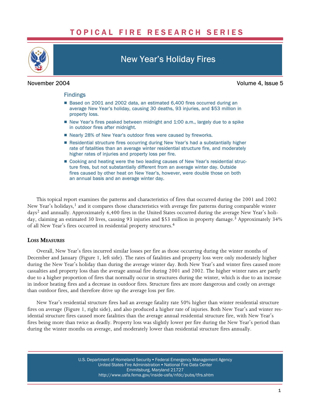# TOPICAL FIRE RESEARCH SERIES



# New Year's Holiday Fires

November 2004 Volume 4, Issue 5

#### Findings

- Based on 2001 and 2002 data, an estimated 6,400 fires occurred during an average New Year's holiday, causing 30 deaths, 93 injuries, and \$53 million in property loss.
- New Year's fires peaked between midnight and 1:00 a.m., largely due to a spike in outdoor fires after midnight.
- Nearly 28% of New Year's outdoor fires were caused by fireworks.
- Residential structure fires occurring during New Year's had a substantially higher rate of fatalities than an average winter residential structure fire, and moderately higher rates of injuries and property loss per fire.
- **D** Cooking and heating were the two leading causes of New Year's residential struc ture fires, but not substantially different from an average winter day. Outside fires caused by other heat on New Year's, however, were double those on both an annual basis and an average winter day.

This topical report examines the patterns and characteristics of fires that occurred during the 2001 and 2002 New Year's holidays,<sup>1</sup> and it compares those characteristics with average fire patterns during comparable winter days2 and annually. Approximately 6,400 fires in the United States occurred during the average New Year's holiday, claiming an estimated 30 lives, causing 93 injuries and \$53 million in property damage.<sup>3</sup> Approximately 34% of all New Year's fires occurred in residential property structures.4

#### LOSS MEASURES

Overall, New Year's fires incurred similar losses per fire as those occurring during the winter months of December and January (Figure 1, left side). The rates of fatalities and property loss were only moderately higher during the New Year's holiday than during the average winter day. Both New Year's and winter fires caused more casualties and property loss than the average annual fire during 2001 and 2002. The higher winter rates are partly due to a higher proportion of fires that normally occur in structures during the winter, which is due to an increase in indoor heating fires and a decrease in outdoor fires. Structure fires are more dangerous and costly on average than outdoor fires, and therefore drive up the average loss per fire.

New Year's residential structure fires had an average fatality rate 50% higher than winter residential structure fires on average (Figure 1, right side), and also produced a higher rate of injuries. Both New Year's and winter residential structure fires caused more fatalities than the average annual residential structure fire, with New Year's fires being more than twice as deadly. Property loss was slightly lower per fire during the New Year's period than during the winter months on average, and moderately lower than residential structure fires annually.

> U.S. Department of Homeland Security • Federal Emergency Management Agency United States Fire Administration . National Fire Data Center Emmitsburg, Maryland 21727 [http://www.usfa.fema.gov/inside−usfa/nfdc/pubs/tfrs.shtm](http://www.usfa.fema.gov/inside%E2%88%92usfa/nfdc/pubs/tfrs.shtm)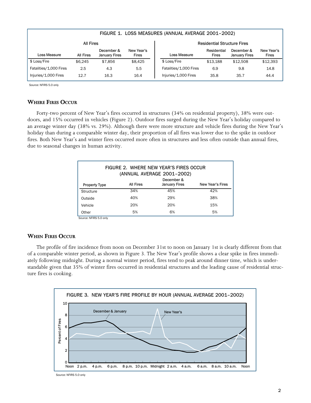|                        | FIGURE 1. LOSS MEASURES (ANNUAL AVERAGE 2001-2002) |                                    |                            |                                    |                             |                                    |                     |
|------------------------|----------------------------------------------------|------------------------------------|----------------------------|------------------------------------|-----------------------------|------------------------------------|---------------------|
| <b>All Fires</b>       |                                                    |                                    |                            | <b>Residential Structure Fires</b> |                             |                                    |                     |
| Loss Measure           | All Fires                                          | December &<br><b>January Fires</b> | New Year's<br><b>Fires</b> | Loss Measure                       | Residential<br><b>Fires</b> | December &<br><b>January Fires</b> | New Year's<br>Fires |
| \$ Loss/Fire           | \$6.245                                            | \$7,856                            | \$8.425                    | \$ Loss/Fire                       | \$13.188                    | \$12,508                           | \$12,393            |
| Fatalities/1,000 Fires | 2.5                                                | 4.3                                | 5.5                        | Fatalities/1,000 Fires             | 6.9                         | 9.8                                | 14.8                |
| Injuries/1,000 Fires   | 12.7                                               | 16.3                               | 16.4                       | Injuries/1,000 Fires               | 35.8                        | 35.7                               | 44.4                |

Source: NFIRS 5.0 only

#### WHERE FIRES OCCUR

Forty−two percent of New Year's fires occurred in structures (34% on residential property), 38% were outdoors, and 15% occurred in vehicles (Figure 2). Outdoor fires surged during the New Year's holiday compared to an average winter day (38% vs. 29%). Although there were more structure and vehicle fires during the New Year's holiday than during a comparable winter day, their proportion of all fires was lower due to the spike in outdoor fires. Both New Year's and winter fires occurred more often in structures and less often outside than annual fires, due to seasonal changes in human activity.

| FIGURE 2. WHERE NEW YEAR'S FIRES OCCUR<br>(ANNUAL AVERAGE 2001-2002) |                  |                                    |                         |  |  |  |  |
|----------------------------------------------------------------------|------------------|------------------------------------|-------------------------|--|--|--|--|
| <b>Property Type</b>                                                 | <b>All Fires</b> | December &<br><b>January Fires</b> | <b>New Year's Fires</b> |  |  |  |  |
| Structure                                                            | 34%              | 45%                                | 42%                     |  |  |  |  |
| Outside                                                              | 40%              | 29%                                | 38%                     |  |  |  |  |
| Vehicle                                                              | 20%              | 20%                                | 15%                     |  |  |  |  |
| Other                                                                | 5%               | 6%                                 | 5%                      |  |  |  |  |

Source: NFIRS 5.0 only

#### WHEN FIRES OCCUR

The profile of fire incidence from noon on December 31st to noon on January 1st is clearly different from that of a comparable winter period, as shown in Figure 3. The New Year's profile shows a clear spike in fires immediately following midnight. During a normal winter period, fires tend to peak around dinner time, which is understandable given that 35% of winter fires occurred in residential structures and the leading cause of residential structure fires is cooking.



Source: NFIRS 5.0 only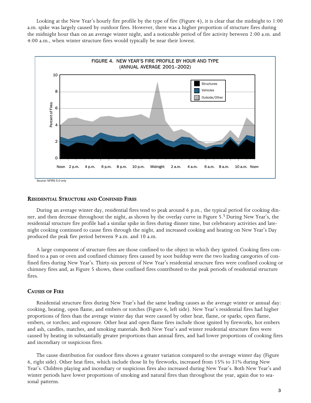Looking at the New Year's hourly fire profile by the type of fire (Figure 4), it is clear that the midnight to 1:00 a.m. spike was largely caused by outdoor fires. However, there was a higher proportion of structure fires during the midnight hour than on an average winter night, and a noticeable period of fire activity between 2:00 a.m. and 4:00 a.m., when winter structure fires would typically be near their lowest.



#### RESIDENTIAL STRUCTURE AND CONFINED FIRES

During an average winter day, residential fires tend to peak around 6 p.m., the typical period for cooking dinner, and then decrease throughout the night, as shown by the overlay curve in Figure 5.5 During New Year's, the residential structure fire profile had a similar spike in fires during dinner time, but celebratory activities and late− night cooking continued to cause fires through the night, and increased cooking and heating on New Year's Day produced the peak fire period between 9 a.m. and 10 a.m.

A large component of structure fires are those confined to the object in which they ignited. Cooking fires confined to a pan or oven and confined chimney fires caused by soot buildup were the two leading categories of confined fires during New Year's. Thirty−six percent of New Year's residential structure fires were confined cooking or chimney fires and, as Figure 5 shows, these confined fires contributed to the peak periods of residential structure fires.

#### CAUSES OF FIRE

Residential structure fires during New Year's had the same leading causes as the average winter or annual day: cooking, heating, open flame, and embers or torches (Figure 6, left side). New Year's residential fires had higher proportions of fires than the average winter day that were caused by other heat, flame, or sparks; open flame, embers, or torches; and exposure. Other heat and open flame fires include those ignited by fireworks, hot embers and ash, candles, matches, and smoking materials. Both New Year's and winter residential structure fires were caused by heating in substantially greater proportions than annual fires, and had lower proportions of cooking fires and incendiary or suspicious fires.

The cause distribution for outdoor fires shows a greater variation compared to the average winter day (Figure 6, right side). Other heat fires, which include those lit by fireworks, increased from 15% to 31% during New Year's. Children playing and incendiary or suspicious fires also increased during New Year's. Both New Year's and winter periods have lower proportions of smoking and natural fires than throughout the year, again due to seasonal patterns.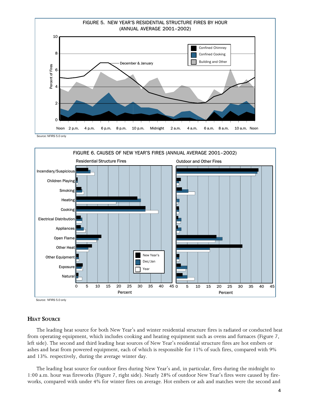



Source: NFIRS 5.0 only

### **HEAT SOURCE**

The leading heat source for both New Year's and winter residential structure fires is radiated or conducted heat from operating equipment, which includes cooking and heating equipment such as ovens and furnaces (Figure 7, left side). The second and third leading heat sources of New Year's residential structure fires are hot embers or ashes and heat from powered equipment, each of which is responsible for 11% of such fires, compared with 9% and 13%. respectively, during the average winter day.

The leading heat source for outdoor fires during New Year's and, in particular, fires during the midnight to 1:00 a.m. hour was fireworks (Figure 7, right side). Nearly 28% of outdoor New Year's fires were caused by fireworks, compared with under 4% for winter fires on average. Hot embers or ash and matches were the second and